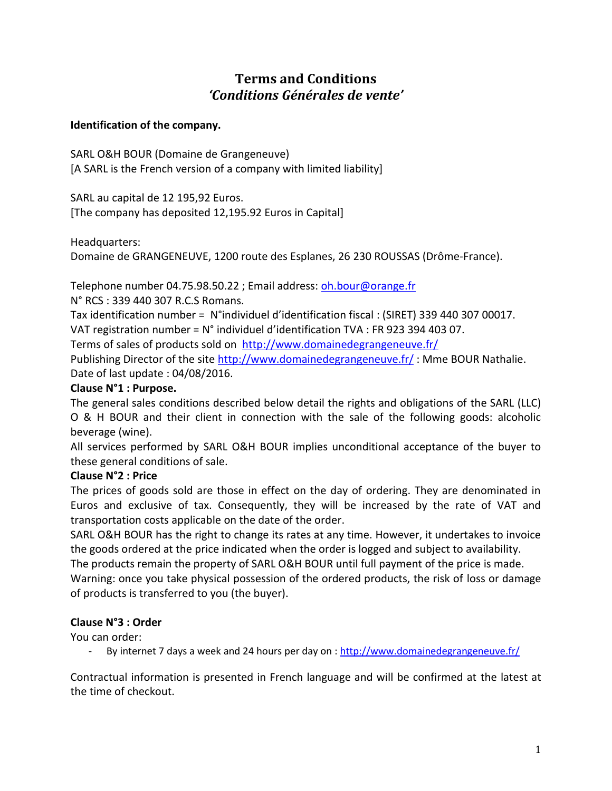# **Terms and Conditions** *'Conditions Générales de vente'*

#### **Identification of the company.**

SARL O&H BOUR (Domaine de Grangeneuve) [A SARL is the French version of a company with limited liability]

SARL au capital de 12 195,92 Euros. [The company has deposited 12,195.92 Euros in Capital]

Headquarters:

Domaine de GRANGENEUVE, 1200 route des Esplanes, 26 230 ROUSSAS (Drôme-France).

Telephone number 04.75.98.50.22 ; Email address: [oh.bour@orange.fr](mailto:oh.bour@orange.fr)

N° RCS : 339 440 307 R.C.S Romans.

Tax identification number = N°individuel d'identification fiscal : (SIRET) 339 440 307 00017. VAT registration number = N° individuel d'identification TVA : FR 923 394 403 07.

Terms of sales of products sold on <http://www.domainedegrangeneuve.fr/>

Publishing Director of the site <http://www.domainedegrangeneuve.fr/> : Mme BOUR Nathalie. Date of last update : 04/08/2016.

#### **Clause N°1 : Purpose.**

The general sales conditions described below detail the rights and obligations of the SARL (LLC) O & H BOUR and their client in connection with the sale of the following goods: alcoholic beverage (wine).

All services performed by SARL O&H BOUR implies unconditional acceptance of the buyer to these general conditions of sale.

#### **Clause N°2 : Price**

The prices of goods sold are those in effect on the day of ordering. They are denominated in Euros and exclusive of tax. Consequently, they will be increased by the rate of VAT and transportation costs applicable on the date of the order.

SARL O&H BOUR has the right to change its rates at any time. However, it undertakes to invoice the goods ordered at the price indicated when the order is logged and subject to availability.

The products remain the property of SARL O&H BOUR until full payment of the price is made. Warning: once you take physical possession of the ordered products, the risk of loss or damage of products is transferred to you (the buyer).

#### **Clause N°3 : Order**

You can order:

By internet 7 days a week and 24 hours per day on : <http://www.domainedegrangeneuve.fr/>

Contractual information is presented in French language and will be confirmed at the latest at the time of checkout.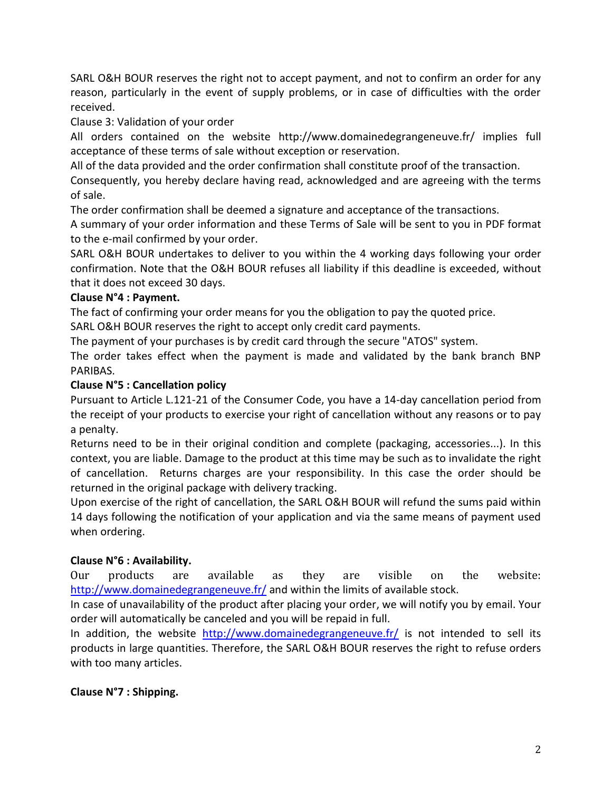SARL O&H BOUR reserves the right not to accept payment, and not to confirm an order for any reason, particularly in the event of supply problems, or in case of difficulties with the order received.

Clause 3: Validation of your order

All orders contained on the website http://www.domainedegrangeneuve.fr/ implies full acceptance of these terms of sale without exception or reservation.

All of the data provided and the order confirmation shall constitute proof of the transaction.

Consequently, you hereby declare having read, acknowledged and are agreeing with the terms of sale.

The order confirmation shall be deemed a signature and acceptance of the transactions.

A summary of your order information and these Terms of Sale will be sent to you in PDF format to the e-mail confirmed by your order.

SARL O&H BOUR undertakes to deliver to you within the 4 working days following your order confirmation. Note that the O&H BOUR refuses all liability if this deadline is exceeded, without that it does not exceed 30 days.

### **Clause N°4 : Payment.**

The fact of confirming your order means for you the obligation to pay the quoted price.

SARL O&H BOUR reserves the right to accept only credit card payments.

The payment of your purchases is by credit card through the secure "ATOS" system.

The order takes effect when the payment is made and validated by the bank branch BNP PARIBAS.

### **Clause N°5 : Cancellation policy**

Pursuant to Article L.121-21 of the Consumer Code, you have a 14-day cancellation period from the receipt of your products to exercise your right of cancellation without any reasons or to pay a penalty.

Returns need to be in their original condition and complete (packaging, accessories...). In this context, you are liable. Damage to the product at this time may be such as to invalidate the right of cancellation. Returns charges are your responsibility. In this case the order should be returned in the original package with delivery tracking.

Upon exercise of the right of cancellation, the SARL O&H BOUR will refund the sums paid within 14 days following the notification of your application and via the same means of payment used when ordering.

# **Clause N°6 : Availability.**

Our products are available as they are visible on the website: http://www.domainedegrangeneuve.fr/ and within the limits of available stock.

In case of unavailability of the product after placing your order, we will notify you by email. Your order will automatically be canceled and you will be repaid in full.

In addition, the website <http://www.domainedegrangeneuve.fr/> is not intended to sell its products in large quantities. Therefore, the SARL O&H BOUR reserves the right to refuse orders with too many articles.

# **Clause N°7 : Shipping.**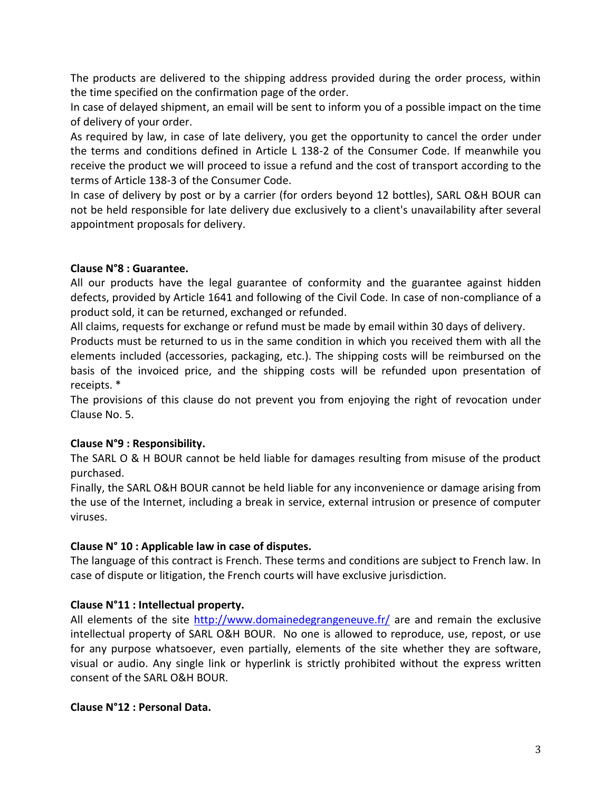The products are delivered to the shipping address provided during the order process, within the time specified on the confirmation page of the order.

In case of delayed shipment, an email will be sent to inform you of a possible impact on the time of delivery of your order.

As required by law, in case of late delivery, you get the opportunity to cancel the order under the terms and conditions defined in Article L 138-2 of the Consumer Code. If meanwhile you receive the product we will proceed to issue a refund and the cost of transport according to the terms of Article 138-3 of the Consumer Code.

In case of delivery by post or by a carrier (for orders beyond 12 bottles), SARL O&H BOUR can not be held responsible for late delivery due exclusively to a client's unavailability after several appointment proposals for delivery.

### **Clause N°8 : Guarantee.**

All our products have the legal guarantee of conformity and the guarantee against hidden defects, provided by Article 1641 and following of the Civil Code. In case of non-compliance of a product sold, it can be returned, exchanged or refunded.

All claims, requests for exchange or refund must be made by email within 30 days of delivery.

Products must be returned to us in the same condition in which you received them with all the elements included (accessories, packaging, etc.). The shipping costs will be reimbursed on the basis of the invoiced price, and the shipping costs will be refunded upon presentation of receipts. \*

The provisions of this clause do not prevent you from enjoying the right of revocation under Clause No. 5.

# **Clause N°9 : Responsibility.**

The SARL O & H BOUR cannot be held liable for damages resulting from misuse of the product purchased.

Finally, the SARL O&H BOUR cannot be held liable for any inconvenience or damage arising from the use of the Internet, including a break in service, external intrusion or presence of computer viruses.

# **Clause N° 10 : Applicable law in case of disputes.**

The language of this contract is French. These terms and conditions are subject to French law. In case of dispute or litigation, the French courts will have exclusive jurisdiction.

# **Clause N°11 : Intellectual property.**

All elements of the site<http://www.domainedegrangeneuve.fr/> are and remain the exclusive intellectual property of SARL O&H BOUR. No one is allowed to reproduce, use, repost, or use for any purpose whatsoever, even partially, elements of the site whether they are software, visual or audio. Any single link or hyperlink is strictly prohibited without the express written consent of the SARL O&H BOUR.

#### **Clause N°12 : Personal Data.**